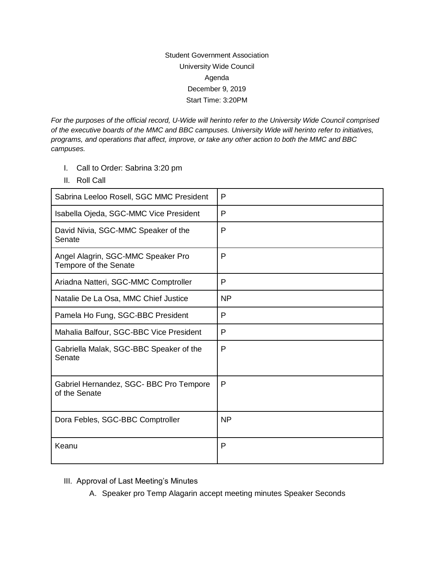## Student Government Association University Wide Council Agenda December 9, 2019 Start Time: 3:20PM

*For the purposes of the official record, U-Wide will herinto refer to the University Wide Council comprised of the executive boards of the MMC and BBC campuses. University Wide will herinto refer to initiatives, programs, and operations that affect, improve, or take any other action to both the MMC and BBC campuses.* 

- I. Call to Order: Sabrina 3:20 pm
- II. Roll Call

| Sabrina Leeloo Rosell, SGC MMC President                    | P         |
|-------------------------------------------------------------|-----------|
| Isabella Ojeda, SGC-MMC Vice President                      | P         |
| David Nivia, SGC-MMC Speaker of the<br>Senate               | P         |
| Angel Alagrin, SGC-MMC Speaker Pro<br>Tempore of the Senate | P         |
| Ariadna Natteri, SGC-MMC Comptroller                        | P         |
| Natalie De La Osa, MMC Chief Justice                        | <b>NP</b> |
| Pamela Ho Fung, SGC-BBC President                           | P         |
| Mahalia Balfour, SGC-BBC Vice President                     | P         |
| Gabriella Malak, SGC-BBC Speaker of the<br>Senate           | P         |
| Gabriel Hernandez, SGC- BBC Pro Tempore<br>of the Senate    | P         |
| Dora Febles, SGC-BBC Comptroller                            | <b>NP</b> |
| Keanu                                                       | P         |

- III. Approval of Last Meeting's Minutes
	- A. Speaker pro Temp Alagarin accept meeting minutes Speaker Seconds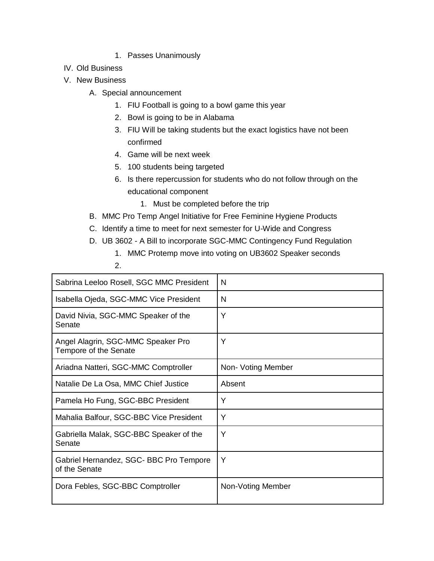- 1. Passes Unanimously
- IV. Old Business
- V. New Business
	- A. Special announcement
		- 1. FIU Football is going to a bowl game this year
		- 2. Bowl is going to be in Alabama
		- 3. FIU Will be taking students but the exact logistics have not been confirmed
		- 4. Game will be next week
		- 5. 100 students being targeted
		- 6. Is there repercussion for students who do not follow through on the educational component
			- 1. Must be completed before the trip
	- B. MMC Pro Temp Angel Initiative for Free Feminine Hygiene Products
	- C. Identify a time to meet for next semester for U-Wide and Congress
	- D. UB 3602 A Bill to incorporate SGC-MMC Contingency Fund Regulation
		- 1. MMC Protemp move into voting on UB3602 Speaker seconds
		- 2.

| Sabrina Leeloo Rosell, SGC MMC President                    | N                  |
|-------------------------------------------------------------|--------------------|
| Isabella Ojeda, SGC-MMC Vice President                      | N                  |
| David Nivia, SGC-MMC Speaker of the<br>Senate               | Y                  |
| Angel Alagrin, SGC-MMC Speaker Pro<br>Tempore of the Senate | Y                  |
| Ariadna Natteri, SGC-MMC Comptroller                        | Non- Voting Member |
| Natalie De La Osa, MMC Chief Justice                        | Absent             |
| Pamela Ho Fung, SGC-BBC President                           | Y                  |
| Mahalia Balfour, SGC-BBC Vice President                     | Υ                  |
| Gabriella Malak, SGC-BBC Speaker of the<br>Senate           | Y                  |
| Gabriel Hernandez, SGC-BBC Pro Tempore<br>of the Senate     | Υ                  |
| Dora Febles, SGC-BBC Comptroller                            | Non-Voting Member  |